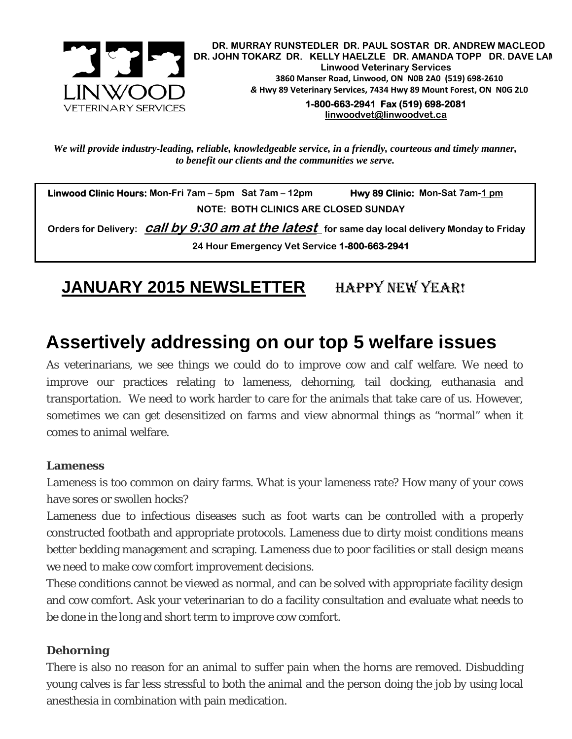

 **DR. MURRAY RUNSTEDLER DR. PAUL SOSTAR DR. ANDREW MACLEOD DR. JOHN TOKARZ DR. KELLY HAELZLE DR. AMANDA TOPP DR. DAVE LAM Linwood Veterinary Services 3860 Manser Road, Linwood, ON N0B 2A0 (519) 698-2610**  *&* **Hwy 89 Veterinary Services, 7434 Hwy 89 Mount Forest, ON N0G 2L0** 

> **1-800-663-2941 Fax (519) 698-2081 linwoodvet@linwoodvet.ca**

*We will provide industry-leading, reliable, knowledgeable service, in a friendly, courteous and timely manner, to benefit our clients and the communities we serve.* 

 **Linwood Clinic Hours:** Mon-Fri 7am – 5pm Sat 7am – 12pm **Hwy 89 Clinic:** Mon-Sat 7am-1 pm **NOTE: BOTH CLINICS ARE CLOSED SUNDAY** 

 **Orders for Delivery: call by 9:30 am at the latest for same day local delivery Monday to Friday 24 Hour Emergency Vet Service 1-800-663-2941** 

**JANUARY 2015 NEWSLETTER** HAPPY NEW YEAR!

# **Assertively addressing on our top 5 welfare issues**

As veterinarians, we see things we could do to improve cow and calf welfare. We need to improve our practices relating to lameness, dehorning, tail docking, euthanasia and transportation. We need to work harder to care for the animals that take care of us. However, sometimes we can get desensitized on farms and view abnormal things as "normal" when it comes to animal welfare.

#### **Lameness**

Lameness is too common on dairy farms. What is your lameness rate? How many of your cows have sores or swollen hocks?

Lameness due to infectious diseases such as foot warts can be controlled with a properly constructed footbath and appropriate protocols. Lameness due to dirty moist conditions means better bedding management and scraping. Lameness due to poor facilities or stall design means we need to make cow comfort improvement decisions.

These conditions cannot be viewed as normal, and can be solved with appropriate facility design and cow comfort. Ask your veterinarian to do a facility consultation and evaluate what needs to be done in the long and short term to improve cow comfort.

#### **Dehorning**

There is also no reason for an animal to suffer pain when the horns are removed. Disbudding young calves is far less stressful to both the animal and the person doing the job by using local anesthesia in combination with pain medication.